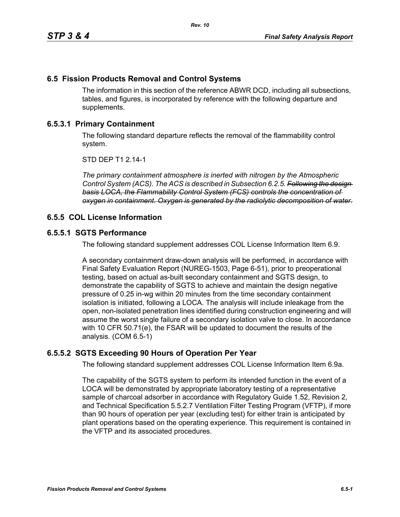# **6.5 Fission Products Removal and Control Systems**

The information in this section of the reference ABWR DCD, including all subsections, tables, and figures, is incorporated by reference with the following departure and supplements.

## **6.5.3.1 Primary Containment**

The following standard departure reflects the removal of the flammability control system.

STD DEP T1 2.14-1

*The primary containment atmosphere is inerted with nitrogen by the Atmospheric Control System (ACS). The ACS is described in Subsection 6.2.5. Following the design basis LOCA, the Flammability Control System (FCS) controls the concentration of oxygen in containment. Oxygen is generated by the radiolytic decomposition of water.*

### **6.5.5 COL License Information**

### **6.5.5.1 SGTS Performance**

The following standard supplement addresses COL License Information Item 6.9.

A secondary containment draw-down analysis will be performed, in accordance with Final Safety Evaluation Report (NUREG-1503, Page 6-51), prior to preoperational testing, based on actual as-built secondary containment and SGTS design, to demonstrate the capability of SGTS to achieve and maintain the design negative pressure of 0.25 in-wg within 20 minutes from the time secondary containment isolation is initiated, following a LOCA. The analysis will include inleakage from the open, non-isolated penetration lines identified during construction engineering and will assume the worst single failure of a secondary isolation valve to close. In accordance with 10 CFR 50.71(e), the FSAR will be updated to document the results of the analysis. (COM 6.5-1)

### **6.5.5.2 SGTS Exceeding 90 Hours of Operation Per Year**

The following standard supplement addresses COL License Information Item 6.9a.

The capability of the SGTS system to perform its intended function in the event of a LOCA will be demonstrated by appropriate laboratory testing of a representative sample of charcoal adsorber in accordance with Regulatory Guide 1.52, Revision 2, and Technical Specification 5.5.2.7 Ventilation Filter Testing Program (VFTP), if more than 90 hours of operation per year (excluding test) for either train is anticipated by plant operations based on the operating experience. This requirement is contained in the VFTP and its associated procedures.